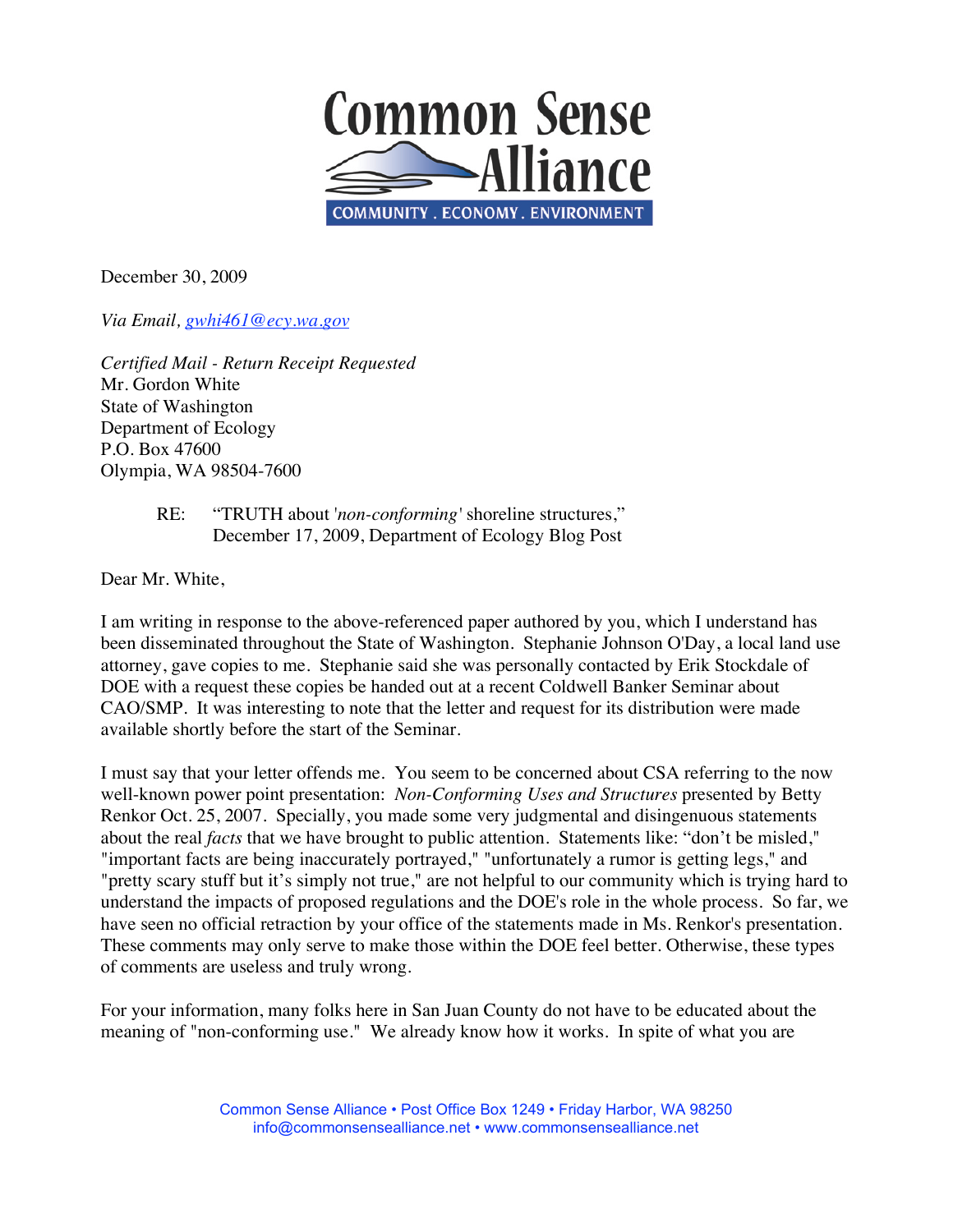

December 30, 2009

*Via Email, gwhi461@ecy.wa.gov*

*Certified Mail - Return Receipt Requested* Mr. Gordon White State of Washington Department of Ecology P.O. Box 47600 Olympia, WA 98504-7600

## RE: "TRUTH about '*non-conforming'* shoreline structures," December 17, 2009, Department of Ecology Blog Post

Dear Mr. White,

I am writing in response to the above-referenced paper authored by you, which I understand has been disseminated throughout the State of Washington. Stephanie Johnson O'Day, a local land use attorney, gave copies to me. Stephanie said she was personally contacted by Erik Stockdale of DOE with a request these copies be handed out at a recent Coldwell Banker Seminar about CAO/SMP. It was interesting to note that the letter and request for its distribution were made available shortly before the start of the Seminar.

I must say that your letter offends me. You seem to be concerned about CSA referring to the now well-known power point presentation: *Non-Conforming Uses and Structures* presented by Betty Renkor Oct. 25, 2007. Specially, you made some very judgmental and disingenuous statements about the real *facts* that we have brought to public attention. Statements like: "don't be misled," "important facts are being inaccurately portrayed," "unfortunately a rumor is getting legs," and "pretty scary stuff but it's simply not true," are not helpful to our community which is trying hard to understand the impacts of proposed regulations and the DOE's role in the whole process. So far, we have seen no official retraction by your office of the statements made in Ms. Renkor's presentation. These comments may only serve to make those within the DOE feel better. Otherwise, these types of comments are useless and truly wrong.

For your information, many folks here in San Juan County do not have to be educated about the meaning of "non-conforming use." We already know how it works. In spite of what you are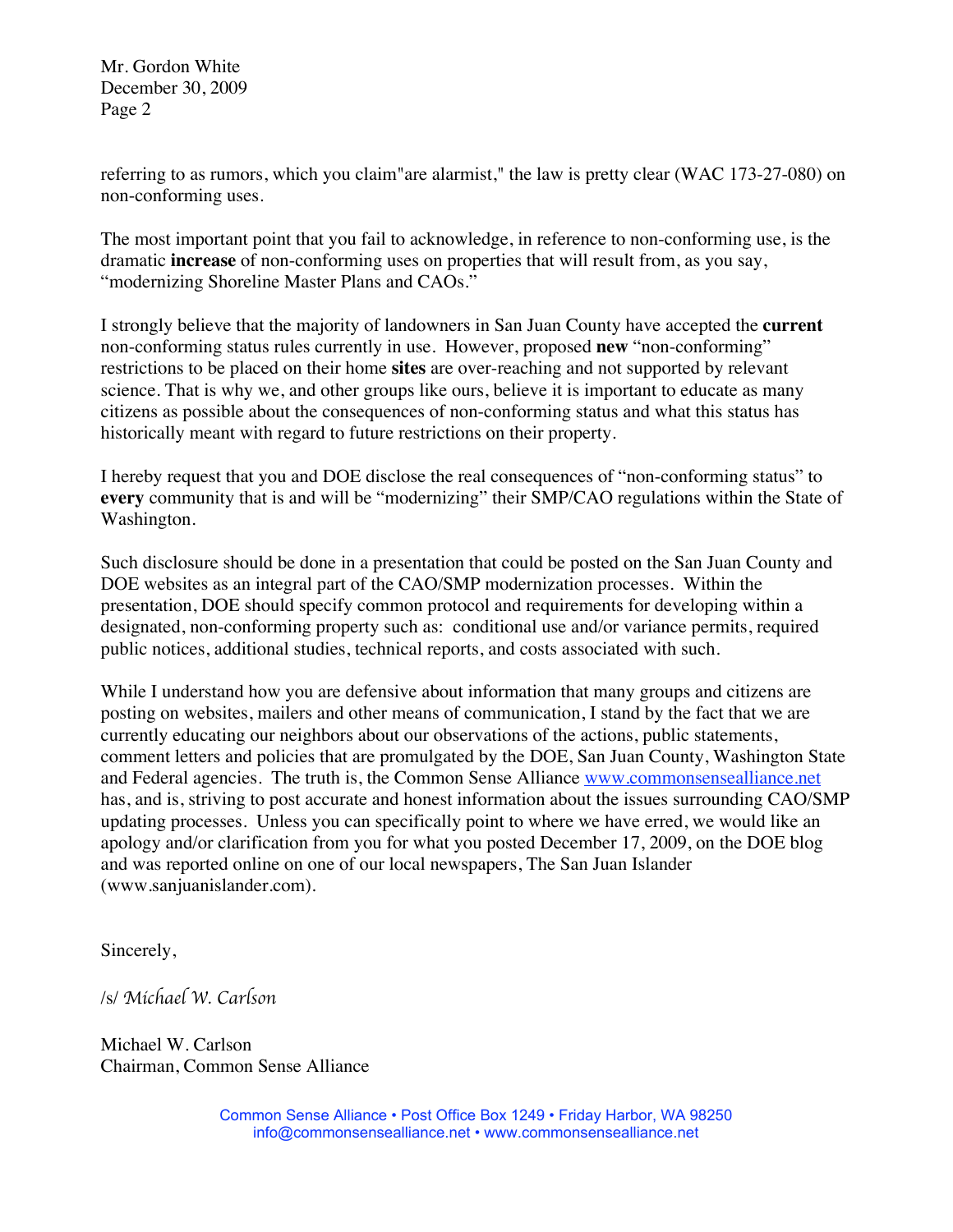Mr. Gordon White December 30, 2009 Page 2

referring to as rumors, which you claim"are alarmist," the law is pretty clear (WAC 173-27-080) on non-conforming uses.

The most important point that you fail to acknowledge, in reference to non-conforming use, is the dramatic **increase** of non-conforming uses on properties that will result from, as you say, "modernizing Shoreline Master Plans and CAOs."

I strongly believe that the majority of landowners in San Juan County have accepted the **current** non-conforming status rules currently in use. However, proposed **new** "non-conforming" restrictions to be placed on their home **sites** are over-reaching and not supported by relevant science. That is why we, and other groups like ours, believe it is important to educate as many citizens as possible about the consequences of non-conforming status and what this status has historically meant with regard to future restrictions on their property.

I hereby request that you and DOE disclose the real consequences of "non-conforming status" to **every** community that is and will be "modernizing" their SMP/CAO regulations within the State of Washington.

Such disclosure should be done in a presentation that could be posted on the San Juan County and DOE websites as an integral part of the CAO/SMP modernization processes. Within the presentation, DOE should specify common protocol and requirements for developing within a designated, non-conforming property such as: conditional use and/or variance permits, required public notices, additional studies, technical reports, and costs associated with such.

While I understand how you are defensive about information that many groups and citizens are posting on websites, mailers and other means of communication, I stand by the fact that we are currently educating our neighbors about our observations of the actions, public statements, comment letters and policies that are promulgated by the DOE, San Juan County, Washington State and Federal agencies. The truth is, the Common Sense Alliance www.commonsensealliance.net has, and is, striving to post accurate and honest information about the issues surrounding CAO/SMP updating processes. Unless you can specifically point to where we have erred, we would like an apology and/or clarification from you for what you posted December 17, 2009, on the DOE blog and was reported online on one of our local newspapers, The San Juan Islander (www.sanjuanislander.com).

Sincerely,

/s/ *Michael W. Carlson*

Michael W. Carlson Chairman, Common Sense Alliance